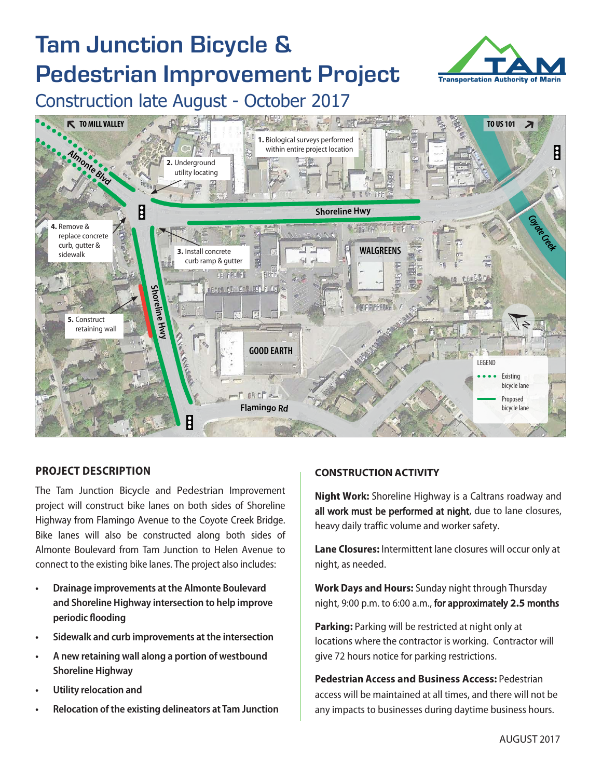# Tam Junction Bicycle & Pedestrian Improvement Project



Construction late August - October 2017



# **PROJECT DESCRIPTION**

The Tam Junction Bicycle and Pedestrian Improvement project will construct bike lanes on both sides of Shoreline Highway from Flamingo Avenue to the Coyote Creek Bridge. Bike lanes will also be constructed along both sides of Almonte Boulevard from Tam Junction to Helen Avenue to connect to the existing bike lanes. The project also includes:

- **• Drainage improvements at the Almonte Boulevard and Shoreline Highway intersection to help improve periodic flooding**
- **• Sidewalk and curb improvements at the intersection**
- **• A new retaining wall along a portion of westbound Shoreline Highway**
- **• Utility relocation and**
- **• Relocation of the existing delineators at Tam Junction**

# **CONSTRUCTION ACTIVITY**

**Night Work:** Shoreline Highway is a Caltrans roadway and all work must be performed at night, due to lane closures, heavy daily traffic volume and worker safety.

**Lane Closures:** Intermittent lane closures will occur only at night, as needed.

**Work Days and Hours:** Sunday night through Thursday night, 9:00 p.m. to 6:00 a.m., for approximately **2.5** months

**Parking:** Parking will be restricted at night only at locations where the contractor is working. Contractor will give 72 hours notice for parking restrictions.

**Pedestrian Access and Business Access:** Pedestrian access will be maintained at all times, and there will not be any impacts to businesses during daytime business hours.